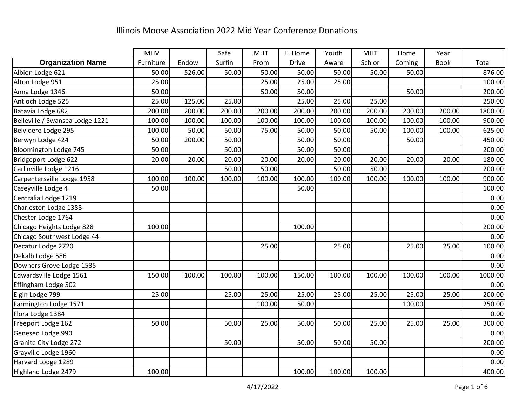|                                 | <b>MHV</b> |        | Safe   | <b>MHT</b> | IL Home | Youth  | <b>MHT</b> | Home   | Year        |         |
|---------------------------------|------------|--------|--------|------------|---------|--------|------------|--------|-------------|---------|
| <b>Organization Name</b>        | Furniture  | Endow  | Surfin | Prom       | Drive   | Aware  | Schlor     | Coming | <b>Book</b> | Total   |
| Albion Lodge 621                | 50.00      | 526.00 | 50.00  | 50.00      | 50.00   | 50.00  | 50.00      | 50.00  |             | 876.00  |
| Alton Lodge 951                 | 25.00      |        |        | 25.00      | 25.00   | 25.00  |            |        |             | 100.00  |
| Anna Lodge 1346                 | 50.00      |        |        | 50.00      | 50.00   |        |            | 50.00  |             | 200.00  |
| Antioch Lodge 525               | 25.00      | 125.00 | 25.00  |            | 25.00   | 25.00  | 25.00      |        |             | 250.00  |
| Batavia Lodge 682               | 200.00     | 200.00 | 200.00 | 200.00     | 200.00  | 200.00 | 200.00     | 200.00 | 200.00      | 1800.00 |
| Belleville / Swansea Lodge 1221 | 100.00     | 100.00 | 100.00 | 100.00     | 100.00  | 100.00 | 100.00     | 100.00 | 100.00      | 900.00  |
| Belvidere Lodge 295             | 100.00     | 50.00  | 50.00  | 75.00      | 50.00   | 50.00  | 50.00      | 100.00 | 100.00      | 625.00  |
| Berwyn Lodge 424                | 50.00      | 200.00 | 50.00  |            | 50.00   | 50.00  |            | 50.00  |             | 450.00  |
| Bloomington Lodge 745           | 50.00      |        | 50.00  |            | 50.00   | 50.00  |            |        |             | 200.00  |
| Bridgeport Lodge 622            | 20.00      | 20.00  | 20.00  | 20.00      | 20.00   | 20.00  | 20.00      | 20.00  | 20.00       | 180.00  |
| Carlinville Lodge 1216          |            |        | 50.00  | 50.00      |         | 50.00  | 50.00      |        |             | 200.00  |
| Carpentersville Lodge 1958      | 100.00     | 100.00 | 100.00 | 100.00     | 100.00  | 100.00 | 100.00     | 100.00 | 100.00      | 900.00  |
| Caseyville Lodge 4              | 50.00      |        |        |            | 50.00   |        |            |        |             | 100.00  |
| Centralia Lodge 1219            |            |        |        |            |         |        |            |        |             | 0.00    |
| Charleston Lodge 1388           |            |        |        |            |         |        |            |        |             | 0.00    |
| Chester Lodge 1764              |            |        |        |            |         |        |            |        |             | 0.00    |
| Chicago Heights Lodge 828       | 100.00     |        |        |            | 100.00  |        |            |        |             | 200.00  |
| Chicago Southwest Lodge 44      |            |        |        |            |         |        |            |        |             | 0.00    |
| Decatur Lodge 2720              |            |        |        | 25.00      |         | 25.00  |            | 25.00  | 25.00       | 100.00  |
| Dekalb Lodge 586                |            |        |        |            |         |        |            |        |             | 0.00    |
| Downers Grove Lodge 1535        |            |        |        |            |         |        |            |        |             | 0.00    |
| Edwardsville Lodge 1561         | 150.00     | 100.00 | 100.00 | 100.00     | 150.00  | 100.00 | 100.00     | 100.00 | 100.00      | 1000.00 |
| Effingham Lodge 502             |            |        |        |            |         |        |            |        |             | 0.00    |
| Elgin Lodge 799                 | 25.00      |        | 25.00  | 25.00      | 25.00   | 25.00  | 25.00      | 25.00  | 25.00       | 200.00  |
| Farmington Lodge 1571           |            |        |        | 100.00     | 50.00   |        |            | 100.00 |             | 250.00  |
| Flora Lodge 1384                |            |        |        |            |         |        |            |        |             | 0.00    |
| Freeport Lodge 162              | 50.00      |        | 50.00  | 25.00      | 50.00   | 50.00  | 25.00      | 25.00  | 25.00       | 300.00  |
| Geneseo Lodge 990               |            |        |        |            |         |        |            |        |             | 0.00    |
| Granite City Lodge 272          |            |        | 50.00  |            | 50.00   | 50.00  | 50.00      |        |             | 200.00  |
| Grayville Lodge 1960            |            |        |        |            |         |        |            |        |             | 0.00    |
| Harvard Lodge 1289              |            |        |        |            |         |        |            |        |             | 0.00    |
| Highland Lodge 2479             | 100.00     |        |        |            | 100.00  | 100.00 | 100.00     |        |             | 400.00  |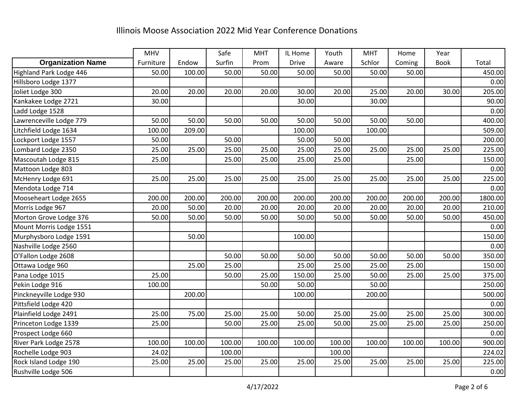|                          | MHV       |        | Safe   | <b>MHT</b> | IL Home | Youth  | <b>MHT</b> | Home   | Year        |         |
|--------------------------|-----------|--------|--------|------------|---------|--------|------------|--------|-------------|---------|
| <b>Organization Name</b> | Furniture | Endow  | Surfin | Prom       | Drive   | Aware  | Schlor     | Coming | <b>Book</b> | Total   |
| Highland Park Lodge 446  | 50.00     | 100.00 | 50.00  | 50.00      | 50.00   | 50.00  | 50.00      | 50.00  |             | 450.00  |
| Hillsboro Lodge 1377     |           |        |        |            |         |        |            |        |             | 0.00    |
| Joliet Lodge 300         | 20.00     | 20.00  | 20.00  | 20.00      | 30.00   | 20.00  | 25.00      | 20.00  | 30.00       | 205.00  |
| Kankakee Lodge 2721      | 30.00     |        |        |            | 30.00   |        | 30.00      |        |             | 90.00   |
| Ladd Lodge 1528          |           |        |        |            |         |        |            |        |             | 0.00    |
| Lawrenceville Lodge 779  | 50.00     | 50.00  | 50.00  | 50.00      | 50.00   | 50.00  | 50.00      | 50.00  |             | 400.00  |
| Litchfield Lodge 1634    | 100.00    | 209.00 |        |            | 100.00  |        | 100.00     |        |             | 509.00  |
| Lockport Lodge 1557      | 50.00     |        | 50.00  |            | 50.00   | 50.00  |            |        |             | 200.00  |
| Lombard Lodge 2350       | 25.00     | 25.00  | 25.00  | 25.00      | 25.00   | 25.00  | 25.00      | 25.00  | 25.00       | 225.00  |
| Mascoutah Lodge 815      | 25.00     |        | 25.00  | 25.00      | 25.00   | 25.00  |            | 25.00  |             | 150.00  |
| Mattoon Lodge 803        |           |        |        |            |         |        |            |        |             | 0.00    |
| McHenry Lodge 691        | 25.00     | 25.00  | 25.00  | 25.00      | 25.00   | 25.00  | 25.00      | 25.00  | 25.00       | 225.00  |
| Mendota Lodge 714        |           |        |        |            |         |        |            |        |             | 0.00    |
| Mooseheart Lodge 2655    | 200.00    | 200.00 | 200.00 | 200.00     | 200.00  | 200.00 | 200.00     | 200.00 | 200.00      | 1800.00 |
| Morris Lodge 967         | 20.00     | 50.00  | 20.00  | 20.00      | 20.00   | 20.00  | 20.00      | 20.00  | 20.00       | 210.00  |
| Morton Grove Lodge 376   | 50.00     | 50.00  | 50.00  | 50.00      | 50.00   | 50.00  | 50.00      | 50.00  | 50.00       | 450.00  |
| Mount Morris Lodge 1551  |           |        |        |            |         |        |            |        |             | 0.00    |
| Murphysboro Lodge 1591   |           | 50.00  |        |            | 100.00  |        |            |        |             | 150.00  |
| Nashville Lodge 2560     |           |        |        |            |         |        |            |        |             | 0.00    |
| O'Fallon Lodge 2608      |           |        | 50.00  | 50.00      | 50.00   | 50.00  | 50.00      | 50.00  | 50.00       | 350.00  |
| Ottawa Lodge 960         |           | 25.00  | 25.00  |            | 25.00   | 25.00  | 25.00      | 25.00  |             | 150.00  |
| Pana Lodge 1015          | 25.00     |        | 50.00  | 25.00      | 150.00  | 25.00  | 50.00      | 25.00  | 25.00       | 375.00  |
| Pekin Lodge 916          | 100.00    |        |        | 50.00      | 50.00   |        | 50.00      |        |             | 250.00  |
| Pinckneyville Lodge 930  |           | 200.00 |        |            | 100.00  |        | 200.00     |        |             | 500.00  |
| Pittsfield Lodge 420     |           |        |        |            |         |        |            |        |             | 0.00    |
| Plainfield Lodge 2491    | 25.00     | 75.00  | 25.00  | 25.00      | 50.00   | 25.00  | 25.00      | 25.00  | 25.00       | 300.00  |
| Princeton Lodge 1339     | 25.00     |        | 50.00  | 25.00      | 25.00   | 50.00  | 25.00      | 25.00  | 25.00       | 250.00  |
| Prospect Lodge 660       |           |        |        |            |         |        |            |        |             | 0.00    |
| River Park Lodge 2578    | 100.00    | 100.00 | 100.00 | 100.00     | 100.00  | 100.00 | 100.00     | 100.00 | 100.00      | 900.00  |
| Rochelle Lodge 903       | 24.02     |        | 100.00 |            |         | 100.00 |            |        |             | 224.02  |
| Rock Island Lodge 190    | 25.00     | 25.00  | 25.00  | 25.00      | 25.00   | 25.00  | 25.00      | 25.00  | 25.00       | 225.00  |
| Rushville Lodge 506      |           |        |        |            |         |        |            |        |             | 0.00    |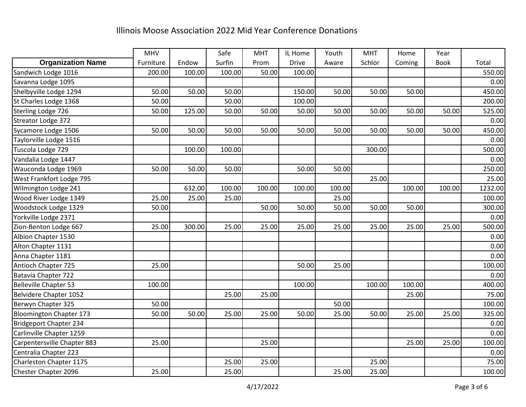|                                | MHV       |        | Safe   | <b>MHT</b> | IL Home      | Youth  | <b>MHT</b> | Home   | Year        |         |
|--------------------------------|-----------|--------|--------|------------|--------------|--------|------------|--------|-------------|---------|
| <b>Organization Name</b>       | Furniture | Endow  | Surfin | Prom       | <b>Drive</b> | Aware  | Schlor     | Coming | <b>Book</b> | Total   |
| Sandwich Lodge 1016            | 200.00    | 100.00 | 100.00 | 50.00      | 100.00       |        |            |        |             | 550.00  |
| Savanna Lodge 1095             |           |        |        |            |              |        |            |        |             | 0.00    |
| Shelbyville Lodge 1294         | 50.00     | 50.00  | 50.00  |            | 150.00       | 50.00  | 50.00      | 50.00  |             | 450.00  |
| St Charles Lodge 1368          | 50.00     |        | 50.00  |            | 100.00       |        |            |        |             | 200.00  |
| Sterling Lodge 726             | 50.00     | 125.00 | 50.00  | 50.00      | 50.00        | 50.00  | 50.00      | 50.00  | 50.00       | 525.00  |
| Streator Lodge 372             |           |        |        |            |              |        |            |        |             | 0.00    |
| Sycamore Lodge 1506            | 50.00     | 50.00  | 50.00  | 50.00      | 50.00        | 50.00  | 50.00      | 50.00  | 50.00       | 450.00  |
| Taylorville Lodge 1516         |           |        |        |            |              |        |            |        |             | 0.00    |
| Tuscola Lodge 729              |           | 100.00 | 100.00 |            |              |        | 300.00     |        |             | 500.00  |
| Vandalia Lodge 1447            |           |        |        |            |              |        |            |        |             | 0.00    |
| Wauconda Lodge 1969            | 50.00     | 50.00  | 50.00  |            | 50.00        | 50.00  |            |        |             | 250.00  |
| West Frankfort Lodge 795       |           |        |        |            |              |        | 25.00      |        |             | 25.00   |
| Wilmington Lodge 241           |           | 632.00 | 100.00 | 100.00     | 100.00       | 100.00 |            | 100.00 | 100.00      | 1232.00 |
| Wood River Lodge 1349          | 25.00     | 25.00  | 25.00  |            |              | 25.00  |            |        |             | 100.00  |
| Woodstock Lodge 1329           | 50.00     |        |        | 50.00      | 50.00        | 50.00  | 50.00      | 50.00  |             | 300.00  |
| Yorkville Lodge 2371           |           |        |        |            |              |        |            |        |             | 0.00    |
| Zion-Benton Lodge 667          | 25.00     | 300.00 | 25.00  | 25.00      | 25.00        | 25.00  | 25.00      | 25.00  | 25.00       | 500.00  |
| Albion Chapter 1530            |           |        |        |            |              |        |            |        |             | 0.00    |
| Alton Chapter 1131             |           |        |        |            |              |        |            |        |             | 0.00    |
| Anna Chapter 1181              |           |        |        |            |              |        |            |        |             | 0.00    |
| <b>Antioch Chapter 725</b>     | 25.00     |        |        |            | 50.00        | 25.00  |            |        |             | 100.00  |
| Batavia Chapter 722            |           |        |        |            |              |        |            |        |             | 0.00    |
| <b>Belleville Chapter 53</b>   | 100.00    |        |        |            | 100.00       |        | 100.00     | 100.00 |             | 400.00  |
| Belvidere Chapter 1052         |           |        | 25.00  | 25.00      |              |        |            | 25.00  |             | 75.00   |
| Berwyn Chapter 325             | 50.00     |        |        |            |              | 50.00  |            |        |             | 100.00  |
| <b>Bloomington Chapter 173</b> | 50.00     | 50.00  | 25.00  | 25.00      | 50.00        | 25.00  | 50.00      | 25.00  | 25.00       | 325.00  |
| Bridgeport Chapter 234         |           |        |        |            |              |        |            |        |             | 0.00    |
| Carlinville Chapter 1259       |           |        |        |            |              |        |            |        |             | 0.00    |
| Carpentersville Chapter 883    | 25.00     |        |        | 25.00      |              |        |            | 25.00  | 25.00       | 100.00  |
| Centralia Chapter 223          |           |        |        |            |              |        |            |        |             | 0.00    |
| Charleston Chapter 1175        |           |        | 25.00  | 25.00      |              |        | 25.00      |        |             | 75.00   |
| Chester Chapter 2096           | 25.00     |        | 25.00  |            |              | 25.00  | 25.00      |        |             | 100.00  |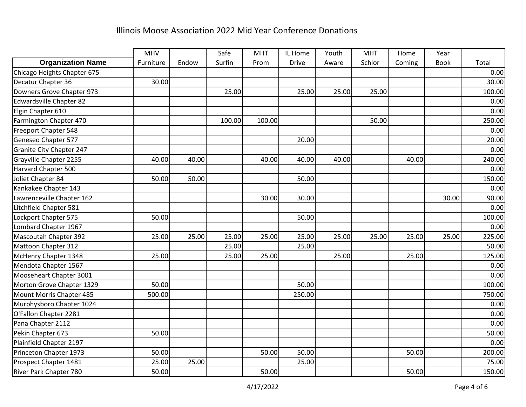|                                 | MHV       |       | Safe   | <b>MHT</b> | IL Home      | Youth | <b>MHT</b> | Home   | Year        |        |
|---------------------------------|-----------|-------|--------|------------|--------------|-------|------------|--------|-------------|--------|
| <b>Organization Name</b>        | Furniture | Endow | Surfin | Prom       | <b>Drive</b> | Aware | Schlor     | Coming | <b>Book</b> | Total  |
| Chicago Heights Chapter 675     |           |       |        |            |              |       |            |        |             | 0.00   |
| Decatur Chapter 36              | 30.00     |       |        |            |              |       |            |        |             | 30.00  |
| Downers Grove Chapter 973       |           |       | 25.00  |            | 25.00        | 25.00 | 25.00      |        |             | 100.00 |
| <b>Edwardsville Chapter 82</b>  |           |       |        |            |              |       |            |        |             | 0.00   |
| Elgin Chapter 610               |           |       |        |            |              |       |            |        |             | 0.00   |
| Farmington Chapter 470          |           |       | 100.00 | 100.00     |              |       | 50.00      |        |             | 250.00 |
| Freeport Chapter 548            |           |       |        |            |              |       |            |        |             | 0.00   |
| Geneseo Chapter 577             |           |       |        |            | 20.00        |       |            |        |             | 20.00  |
| <b>Granite City Chapter 247</b> |           |       |        |            |              |       |            |        |             | 0.00   |
| Grayville Chapter 2255          | 40.00     | 40.00 |        | 40.00      | 40.00        | 40.00 |            | 40.00  |             | 240.00 |
| Harvard Chapter 500             |           |       |        |            |              |       |            |        |             | 0.00   |
| Joliet Chapter 84               | 50.00     | 50.00 |        |            | 50.00        |       |            |        |             | 150.00 |
| Kankakee Chapter 143            |           |       |        |            |              |       |            |        |             | 0.00   |
| Lawrenceville Chapter 162       |           |       |        | 30.00      | 30.00        |       |            |        | 30.00       | 90.00  |
| Litchfield Chapter 581          |           |       |        |            |              |       |            |        |             | 0.00   |
| Lockport Chapter 575            | 50.00     |       |        |            | 50.00        |       |            |        |             | 100.00 |
| Lombard Chapter 1967            |           |       |        |            |              |       |            |        |             | 0.00   |
| Mascoutah Chapter 392           | 25.00     | 25.00 | 25.00  | 25.00      | 25.00        | 25.00 | 25.00      | 25.00  | 25.00       | 225.00 |
| Mattoon Chapter 312             |           |       | 25.00  |            | 25.00        |       |            |        |             | 50.00  |
| McHenry Chapter 1348            | 25.00     |       | 25.00  | 25.00      |              | 25.00 |            | 25.00  |             | 125.00 |
| Mendota Chapter 1567            |           |       |        |            |              |       |            |        |             | 0.00   |
| Mooseheart Chapter 3001         |           |       |        |            |              |       |            |        |             | 0.00   |
| Morton Grove Chapter 1329       | 50.00     |       |        |            | 50.00        |       |            |        |             | 100.00 |
| Mount Morris Chapter 485        | 500.00    |       |        |            | 250.00       |       |            |        |             | 750.00 |
| Murphysboro Chapter 1024        |           |       |        |            |              |       |            |        |             | 0.00   |
| O'Fallon Chapter 2281           |           |       |        |            |              |       |            |        |             | 0.00   |
| Pana Chapter 2112               |           |       |        |            |              |       |            |        |             | 0.00   |
| Pekin Chapter 673               | 50.00     |       |        |            |              |       |            |        |             | 50.00  |
| Plainfield Chapter 2197         |           |       |        |            |              |       |            |        |             | 0.00   |
| Princeton Chapter 1973          | 50.00     |       |        | 50.00      | 50.00        |       |            | 50.00  |             | 200.00 |
| Prospect Chapter 1481           | 25.00     | 25.00 |        |            | 25.00        |       |            |        |             | 75.00  |
| River Park Chapter 780          | 50.00     |       |        | 50.00      |              |       |            | 50.00  |             | 150.00 |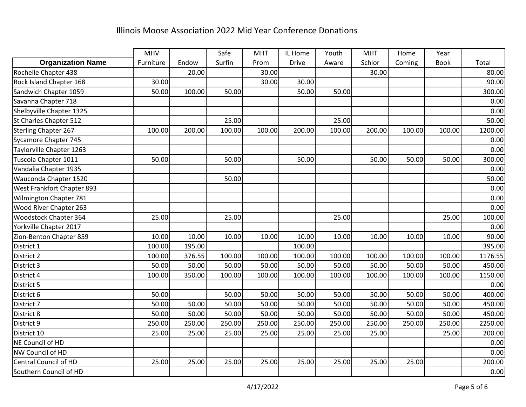|                            | MHV       |        | Safe   | <b>MHT</b> | IL Home      | Youth  | <b>MHT</b> | Home   | Year        |         |
|----------------------------|-----------|--------|--------|------------|--------------|--------|------------|--------|-------------|---------|
| <b>Organization Name</b>   | Furniture | Endow  | Surfin | Prom       | <b>Drive</b> | Aware  | Schlor     | Coming | <b>Book</b> | Total   |
| Rochelle Chapter 438       |           | 20.00  |        | 30.00      |              |        | 30.00      |        |             | 80.00   |
| Rock Island Chapter 168    | 30.00     |        |        | 30.00      | 30.00        |        |            |        |             | 90.00   |
| Sandwich Chapter 1059      | 50.00     | 100.00 | 50.00  |            | 50.00        | 50.00  |            |        |             | 300.00  |
| Savanna Chapter 718        |           |        |        |            |              |        |            |        |             | 0.00    |
| Shelbyville Chapter 1325   |           |        |        |            |              |        |            |        |             | 0.00    |
| St Charles Chapter 512     |           |        | 25.00  |            |              | 25.00  |            |        |             | 50.00   |
| Sterling Chapter 267       | 100.00    | 200.00 | 100.00 | 100.00     | 200.00       | 100.00 | 200.00     | 100.00 | 100.00      | 1200.00 |
| Sycamore Chapter 745       |           |        |        |            |              |        |            |        |             | 0.00    |
| Taylorville Chapter 1263   |           |        |        |            |              |        |            |        |             | 0.00    |
| Tuscola Chapter 1011       | 50.00     |        | 50.00  |            | 50.00        |        | 50.00      | 50.00  | 50.00       | 300.00  |
| Vandalia Chapter 1935      |           |        |        |            |              |        |            |        |             | 0.00    |
| Wauconda Chapter 1520      |           |        | 50.00  |            |              |        |            |        |             | 50.00   |
| West Frankfort Chapter 893 |           |        |        |            |              |        |            |        |             | 0.00    |
| Wilmington Chapter 781     |           |        |        |            |              |        |            |        |             | 0.00    |
| Wood River Chapter 263     |           |        |        |            |              |        |            |        |             | 0.00    |
| Woodstock Chapter 364      | 25.00     |        | 25.00  |            |              | 25.00  |            |        | 25.00       | 100.00  |
| Yorkville Chapter 2017     |           |        |        |            |              |        |            |        |             | 0.00    |
| Zion-Benton Chapter 859    | 10.00     | 10.00  | 10.00  | 10.00      | 10.00        | 10.00  | 10.00      | 10.00  | 10.00       | 90.00   |
| District 1                 | 100.00    | 195.00 |        |            | 100.00       |        |            |        |             | 395.00  |
| District 2                 | 100.00    | 376.55 | 100.00 | 100.00     | 100.00       | 100.00 | 100.00     | 100.00 | 100.00      | 1176.55 |
| District 3                 | 50.00     | 50.00  | 50.00  | 50.00      | 50.00        | 50.00  | 50.00      | 50.00  | 50.00       | 450.00  |
| District 4                 | 100.00    | 350.00 | 100.00 | 100.00     | 100.00       | 100.00 | 100.00     | 100.00 | 100.00      | 1150.00 |
| District 5                 |           |        |        |            |              |        |            |        |             | 0.00    |
| District 6                 | 50.00     |        | 50.00  | 50.00      | 50.00        | 50.00  | 50.00      | 50.00  | 50.00       | 400.00  |
| District 7                 | 50.00     | 50.00  | 50.00  | 50.00      | 50.00        | 50.00  | 50.00      | 50.00  | 50.00       | 450.00  |
| District 8                 | 50.00     | 50.00  | 50.00  | 50.00      | 50.00        | 50.00  | 50.00      | 50.00  | 50.00       | 450.00  |
| District 9                 | 250.00    | 250.00 | 250.00 | 250.00     | 250.00       | 250.00 | 250.00     | 250.00 | 250.00      | 2250.00 |
| District 10                | 25.00     | 25.00  | 25.00  | 25.00      | 25.00        | 25.00  | 25.00      |        | 25.00       | 200.00  |
| NE Council of HD           |           |        |        |            |              |        |            |        |             | 0.00    |
| NW Council of HD           |           |        |        |            |              |        |            |        |             | 0.00    |
| Central Council of HD      | 25.00     | 25.00  | 25.00  | 25.00      | 25.00        | 25.00  | 25.00      | 25.00  |             | 200.00  |
| Southern Council of HD     |           |        |        |            |              |        |            |        |             | 0.00    |